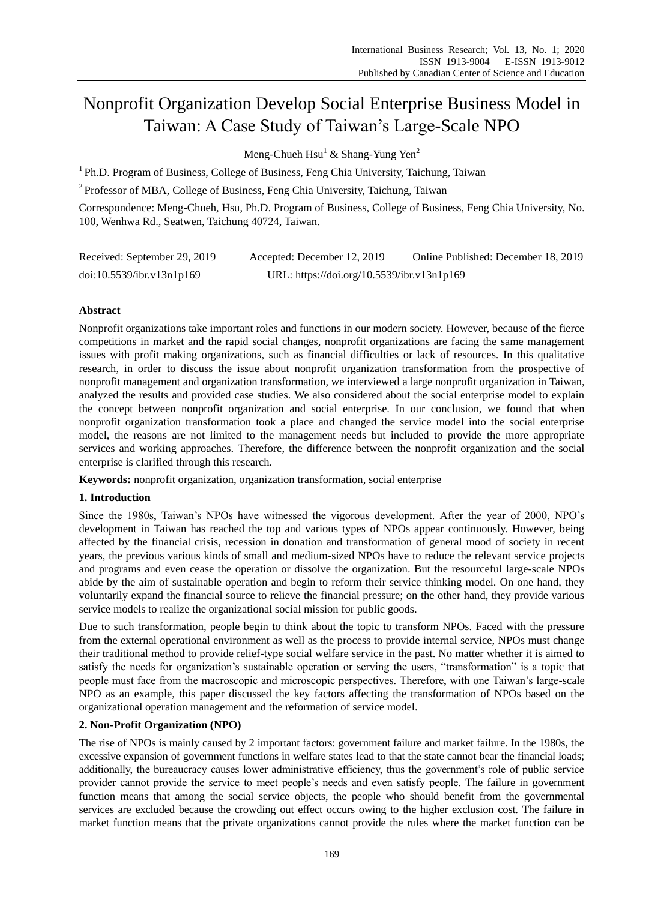# Nonprofit Organization Develop Social Enterprise Business Model in Taiwan: A Case Study of Taiwan's Large-Scale NPO

Meng-Chueh  $Hsu<sup>1</sup>$  & Shang-Yung Yen<sup>2</sup>

<sup>1</sup> Ph.D. Program of Business, College of Business, Feng Chia University, Taichung, Taiwan

<sup>2</sup> Professor of MBA, College of Business, Feng Chia University, Taichung, Taiwan

Correspondence: Meng-Chueh, Hsu, Ph.D. Program of Business, College of Business, Feng Chia University, No. 100, Wenhwa Rd., Seatwen, Taichung 40724, Taiwan.

| Received: September 29, 2019 | Accepted: December 12, 2019                | Online Published: December 18, 2019 |
|------------------------------|--------------------------------------------|-------------------------------------|
| doi:10.5539/ibr.v13n1p169    | URL: https://doi.org/10.5539/ibr.v13n1p169 |                                     |

# **Abstract**

Nonprofit organizations take important roles and functions in our modern society. However, because of the fierce competitions in market and the rapid social changes, nonprofit organizations are facing the same management issues with profit making organizations, such as financial difficulties or lack of resources. In this qualitative research, in order to discuss the issue about nonprofit organization transformation from the prospective of nonprofit management and organization transformation, we interviewed a large nonprofit organization in Taiwan, analyzed the results and provided case studies. We also considered about the social enterprise model to explain the concept between nonprofit organization and social enterprise. In our conclusion, we found that when nonprofit organization transformation took a place and changed the service model into the social enterprise model, the reasons are not limited to the management needs but included to provide the more appropriate services and working approaches. Therefore, the difference between the nonprofit organization and the social enterprise is clarified through this research.

**Keywords:** nonprofit organization, organization transformation, social enterprise

# **1. Introduction**

Since the 1980s, Taiwan's NPOs have witnessed the vigorous development. After the year of 2000, NPO's development in Taiwan has reached the top and various types of NPOs appear continuously. However, being affected by the financial crisis, recession in donation and transformation of general mood of society in recent years, the previous various kinds of small and medium-sized NPOs have to reduce the relevant service projects and programs and even cease the operation or dissolve the organization. But the resourceful large-scale NPOs abide by the aim of sustainable operation and begin to reform their service thinking model. On one hand, they voluntarily expand the financial source to relieve the financial pressure; on the other hand, they provide various service models to realize the organizational social mission for public goods.

Due to such transformation, people begin to think about the topic to transform NPOs. Faced with the pressure from the external operational environment as well as the process to provide internal service, NPOs must change their traditional method to provide relief-type social welfare service in the past. No matter whether it is aimed to satisfy the needs for organization's sustainable operation or serving the users, "transformation" is a topic that people must face from the macroscopic and microscopic perspectives. Therefore, with one Taiwan's large-scale NPO as an example, this paper discussed the key factors affecting the transformation of NPOs based on the organizational operation management and the reformation of service model.

# **2. Non-Profit Organization (NPO)**

The rise of NPOs is mainly caused by 2 important factors: government failure and market failure. In the 1980s, the excessive expansion of government functions in welfare states lead to that the state cannot bear the financial loads; additionally, the bureaucracy causes lower administrative efficiency, thus the government's role of public service provider cannot provide the service to meet people's needs and even satisfy people. The failure in government function means that among the social service objects, the people who should benefit from the governmental services are excluded because the crowding out effect occurs owing to the higher exclusion cost. The failure in market function means that the private organizations cannot provide the rules where the market function can be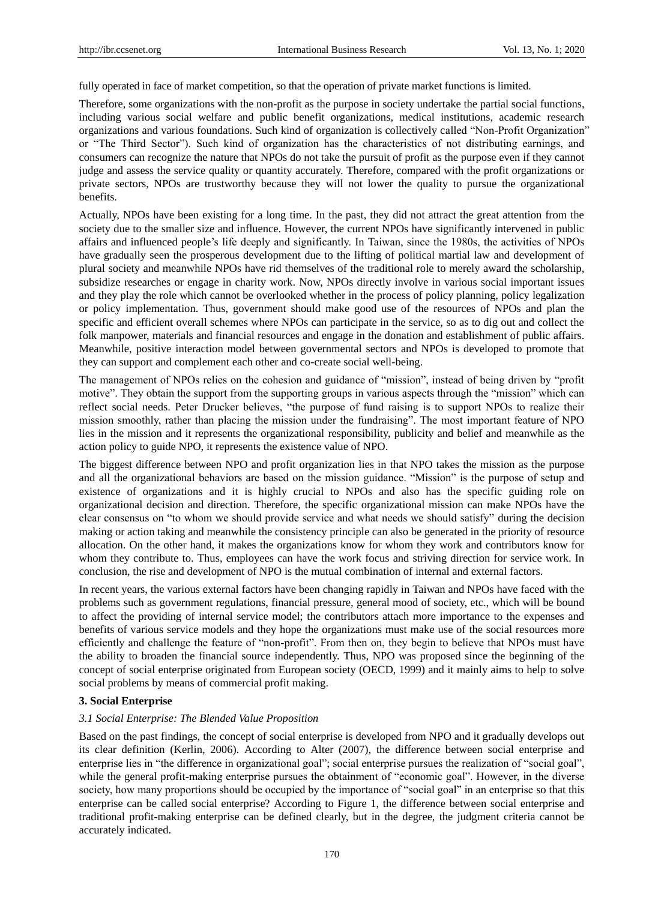fully operated in face of market competition, so that the operation of private market functions is limited.

Therefore, some organizations with the non-profit as the purpose in society undertake the partial social functions, including various social welfare and public benefit organizations, medical institutions, academic research organizations and various foundations. Such kind of organization is collectively called "Non-Profit Organization" or "The Third Sector"). Such kind of organization has the characteristics of not distributing earnings, and consumers can recognize the nature that NPOs do not take the pursuit of profit as the purpose even if they cannot judge and assess the service quality or quantity accurately. Therefore, compared with the profit organizations or private sectors, NPOs are trustworthy because they will not lower the quality to pursue the organizational benefits.

Actually, NPOs have been existing for a long time. In the past, they did not attract the great attention from the society due to the smaller size and influence. However, the current NPOs have significantly intervened in public affairs and influenced people's life deeply and significantly. In Taiwan, since the 1980s, the activities of NPOs have gradually seen the prosperous development due to the lifting of political martial law and development of plural society and meanwhile NPOs have rid themselves of the traditional role to merely award the scholarship, subsidize researches or engage in charity work. Now, NPOs directly involve in various social important issues and they play the role which cannot be overlooked whether in the process of policy planning, policy legalization or policy implementation. Thus, government should make good use of the resources of NPOs and plan the specific and efficient overall schemes where NPOs can participate in the service, so as to dig out and collect the folk manpower, materials and financial resources and engage in the donation and establishment of public affairs. Meanwhile, positive interaction model between governmental sectors and NPOs is developed to promote that they can support and complement each other and co-create social well-being.

The management of NPOs relies on the cohesion and guidance of "mission", instead of being driven by "profit motive". They obtain the support from the supporting groups in various aspects through the "mission" which can reflect social needs. Peter Drucker believes, "the purpose of fund raising is to support NPOs to realize their mission smoothly, rather than placing the mission under the fundraising". The most important feature of NPO lies in the mission and it represents the organizational responsibility, publicity and belief and meanwhile as the action policy to guide NPO, it represents the existence value of NPO.

The biggest difference between NPO and profit organization lies in that NPO takes the mission as the purpose and all the organizational behaviors are based on the mission guidance. "Mission" is the purpose of setup and existence of organizations and it is highly crucial to NPOs and also has the specific guiding role on organizational decision and direction. Therefore, the specific organizational mission can make NPOs have the clear consensus on "to whom we should provide service and what needs we should satisfy" during the decision making or action taking and meanwhile the consistency principle can also be generated in the priority of resource allocation. On the other hand, it makes the organizations know for whom they work and contributors know for whom they contribute to. Thus, employees can have the work focus and striving direction for service work. In conclusion, the rise and development of NPO is the mutual combination of internal and external factors.

In recent years, the various external factors have been changing rapidly in Taiwan and NPOs have faced with the problems such as government regulations, financial pressure, general mood of society, etc., which will be bound to affect the providing of internal service model; the contributors attach more importance to the expenses and benefits of various service models and they hope the organizations must make use of the social resources more efficiently and challenge the feature of "non-profit". From then on, they begin to believe that NPOs must have the ability to broaden the financial source independently. Thus, NPO was proposed since the beginning of the concept of social enterprise originated from European society (OECD, 1999) and it mainly aims to help to solve social problems by means of commercial profit making.

## **3. Social Enterprise**

#### *3.1 Social Enterprise: The Blended Value Proposition*

Based on the past findings, the concept of social enterprise is developed from NPO and it gradually develops out its clear definition (Kerlin, 2006). According to Alter (2007), the difference between social enterprise and enterprise lies in "the difference in organizational goal"; social enterprise pursues the realization of "social goal", while the general profit-making enterprise pursues the obtainment of "economic goal". However, in the diverse society, how many proportions should be occupied by the importance of "social goal" in an enterprise so that this enterprise can be called social enterprise? According to Figure 1, the difference between social enterprise and traditional profit-making enterprise can be defined clearly, but in the degree, the judgment criteria cannot be accurately indicated.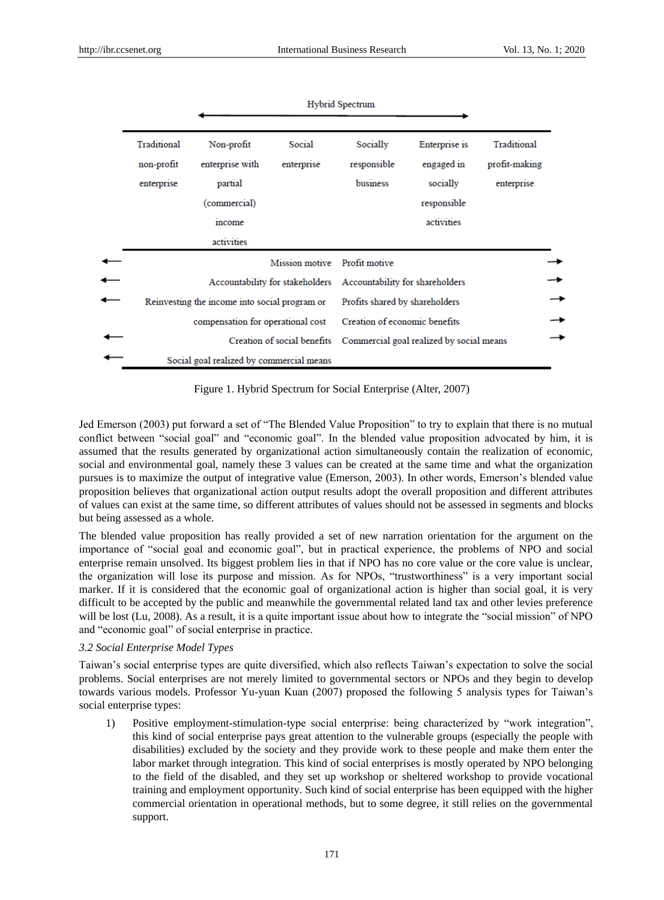|                                                                 |                                                                                  |                              | Hybrid Spectrum                          |                                                                      |                                            |  |
|-----------------------------------------------------------------|----------------------------------------------------------------------------------|------------------------------|------------------------------------------|----------------------------------------------------------------------|--------------------------------------------|--|
| Traditional<br>non-profit<br>enterprise                         | Non-profit<br>enterprise with<br>partial<br>(commercial)<br>income<br>activities | Social<br>enterprise         | Socially<br>responsible<br>business      | Enterprise is<br>engaged in<br>socially<br>responsible<br>activities | Traditional<br>profit-making<br>enterprise |  |
|                                                                 |                                                                                  | Mission motive Profit motive |                                          |                                                                      |                                            |  |
| Accountability for stakeholders Accountability for shareholders |                                                                                  |                              |                                          |                                                                      |                                            |  |
| Reinvesting the income into social program or                   |                                                                                  |                              | Profits shared by shareholders           |                                                                      |                                            |  |
| compensation for operational cost                               |                                                                                  |                              | Creation of economic benefits            |                                                                      |                                            |  |
| Creation of social benefits                                     |                                                                                  |                              | Commercial goal realized by social means |                                                                      |                                            |  |
| Social goal realized by commercial means                        |                                                                                  |                              |                                          |                                                                      |                                            |  |

Figure 1. Hybrid Spectrum for Social Enterprise (Alter, 2007)

Jed Emerson (2003) put forward a set of "The Blended Value Proposition" to try to explain that there is no mutual conflict between "social goal" and "economic goal". In the blended value proposition advocated by him, it is assumed that the results generated by organizational action simultaneously contain the realization of economic, social and environmental goal, namely these 3 values can be created at the same time and what the organization pursues is to maximize the output of integrative value (Emerson, 2003). In other words, Emerson's blended value proposition believes that organizational action output results adopt the overall proposition and different attributes of values can exist at the same time, so different attributes of values should not be assessed in segments and blocks but being assessed as a whole.

The blended value proposition has really provided a set of new narration orientation for the argument on the importance of "social goal and economic goal", but in practical experience, the problems of NPO and social enterprise remain unsolved. Its biggest problem lies in that if NPO has no core value or the core value is unclear, the organization will lose its purpose and mission. As for NPOs, "trustworthiness" is a very important social marker. If it is considered that the economic goal of organizational action is higher than social goal, it is very difficult to be accepted by the public and meanwhile the governmental related land tax and other levies preference will be lost (Lu, 2008). As a result, it is a quite important issue about how to integrate the "social mission" of NPO and "economic goal" of social enterprise in practice.

## *3.2 Social Enterprise Model Types*

Taiwan's social enterprise types are quite diversified, which also reflects Taiwan's expectation to solve the social problems. Social enterprises are not merely limited to governmental sectors or NPOs and they begin to develop towards various models. Professor Yu-yuan Kuan (2007) proposed the following 5 analysis types for Taiwan's social enterprise types:

1) Positive employment-stimulation-type social enterprise: being characterized by "work integration", this kind of social enterprise pays great attention to the vulnerable groups (especially the people with disabilities) excluded by the society and they provide work to these people and make them enter the labor market through integration. This kind of social enterprises is mostly operated by NPO belonging to the field of the disabled, and they set up workshop or sheltered workshop to provide vocational training and employment opportunity. Such kind of social enterprise has been equipped with the higher commercial orientation in operational methods, but to some degree, it still relies on the governmental support.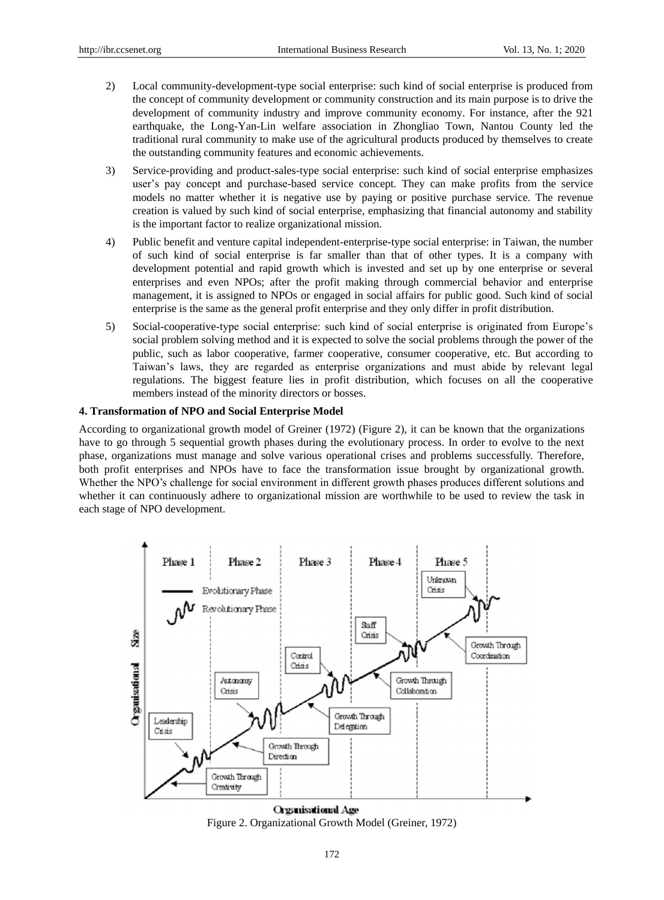- 2) Local community-development-type social enterprise: such kind of social enterprise is produced from the concept of community development or community construction and its main purpose is to drive the development of community industry and improve community economy. For instance, after the 921 earthquake, the Long-Yan-Lin welfare association in Zhongliao Town, Nantou County led the traditional rural community to make use of the agricultural products produced by themselves to create the outstanding community features and economic achievements.
- 3) Service-providing and product-sales-type social enterprise: such kind of social enterprise emphasizes user's pay concept and purchase-based service concept. They can make profits from the service models no matter whether it is negative use by paying or positive purchase service. The revenue creation is valued by such kind of social enterprise, emphasizing that financial autonomy and stability is the important factor to realize organizational mission.
- 4) Public benefit and venture capital independent-enterprise-type social enterprise: in Taiwan, the number of such kind of social enterprise is far smaller than that of other types. It is a company with development potential and rapid growth which is invested and set up by one enterprise or several enterprises and even NPOs; after the profit making through commercial behavior and enterprise management, it is assigned to NPOs or engaged in social affairs for public good. Such kind of social enterprise is the same as the general profit enterprise and they only differ in profit distribution.
- 5) Social-cooperative-type social enterprise: such kind of social enterprise is originated from Europe's social problem solving method and it is expected to solve the social problems through the power of the public, such as labor cooperative, farmer cooperative, consumer cooperative, etc. But according to Taiwan's laws, they are regarded as enterprise organizations and must abide by relevant legal regulations. The biggest feature lies in profit distribution, which focuses on all the cooperative members instead of the minority directors or bosses.

## **4. Transformation of NPO and Social Enterprise Model**

According to organizational growth model of Greiner (1972) (Figure 2), it can be known that the organizations have to go through 5 sequential growth phases during the evolutionary process. In order to evolve to the next phase, organizations must manage and solve various operational crises and problems successfully. Therefore, both profit enterprises and NPOs have to face the transformation issue brought by organizational growth. Whether the NPO's challenge for social environment in different growth phases produces different solutions and whether it can continuously adhere to organizational mission are worthwhile to be used to review the task in each stage of NPO development.



Figure 2. Organizational Growth Model (Greiner, 1972)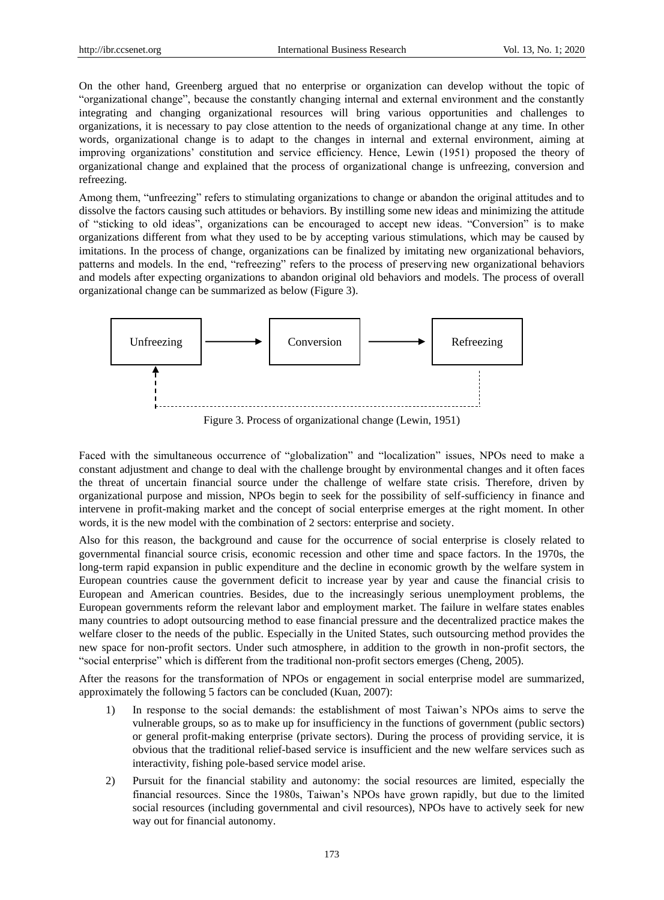On the other hand, Greenberg argued that no enterprise or organization can develop without the topic of "organizational change", because the constantly changing internal and external environment and the constantly integrating and changing organizational resources will bring various opportunities and challenges to organizations, it is necessary to pay close attention to the needs of organizational change at any time. In other words, organizational change is to adapt to the changes in internal and external environment, aiming at improving organizations' constitution and service efficiency. Hence, Lewin (1951) proposed the theory of organizational change and explained that the process of organizational change is unfreezing, conversion and refreezing.

Among them, "unfreezing" refers to stimulating organizations to change or abandon the original attitudes and to dissolve the factors causing such attitudes or behaviors. By instilling some new ideas and minimizing the attitude of "sticking to old ideas", organizations can be encouraged to accept new ideas. "Conversion" is to make organizations different from what they used to be by accepting various stimulations, which may be caused by imitations. In the process of change, organizations can be finalized by imitating new organizational behaviors, patterns and models. In the end, "refreezing" refers to the process of preserving new organizational behaviors and models after expecting organizations to abandon original old behaviors and models. The process of overall organizational change can be summarized as below (Figure 3).



Figure 3. Process of organizational change (Lewin, 1951)

Faced with the simultaneous occurrence of "globalization" and "localization" issues, NPOs need to make a constant adjustment and change to deal with the challenge brought by environmental changes and it often faces the threat of uncertain financial source under the challenge of welfare state crisis. Therefore, driven by organizational purpose and mission, NPOs begin to seek for the possibility of self-sufficiency in finance and intervene in profit-making market and the concept of social enterprise emerges at the right moment. In other words, it is the new model with the combination of 2 sectors: enterprise and society.

Also for this reason, the background and cause for the occurrence of social enterprise is closely related to governmental financial source crisis, economic recession and other time and space factors. In the 1970s, the long-term rapid expansion in public expenditure and the decline in economic growth by the welfare system in European countries cause the government deficit to increase year by year and cause the financial crisis to European and American countries. Besides, due to the increasingly serious unemployment problems, the European governments reform the relevant labor and employment market. The failure in welfare states enables many countries to adopt outsourcing method to ease financial pressure and the decentralized practice makes the welfare closer to the needs of the public. Especially in the United States, such outsourcing method provides the new space for non-profit sectors. Under such atmosphere, in addition to the growth in non-profit sectors, the "social enterprise" which is different from the traditional non-profit sectors emerges (Cheng, 2005).

After the reasons for the transformation of NPOs or engagement in social enterprise model are summarized, approximately the following 5 factors can be concluded (Kuan, 2007):

- 1) In response to the social demands: the establishment of most Taiwan's NPOs aims to serve the vulnerable groups, so as to make up for insufficiency in the functions of government (public sectors) or general profit-making enterprise (private sectors). During the process of providing service, it is obvious that the traditional relief-based service is insufficient and the new welfare services such as interactivity, fishing pole-based service model arise.
- 2) Pursuit for the financial stability and autonomy: the social resources are limited, especially the financial resources. Since the 1980s, Taiwan's NPOs have grown rapidly, but due to the limited social resources (including governmental and civil resources), NPOs have to actively seek for new way out for financial autonomy.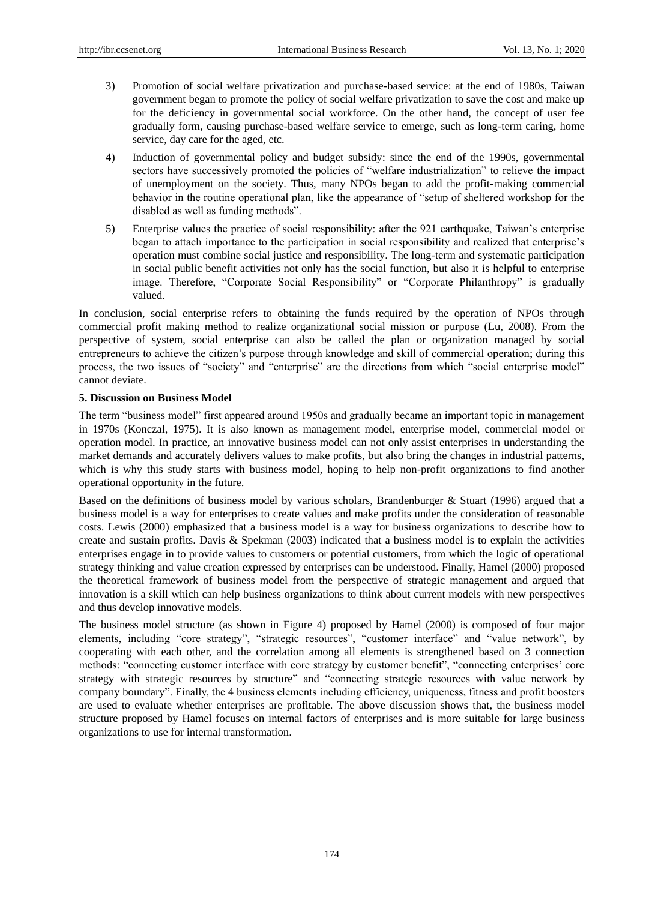- 3) Promotion of social welfare privatization and purchase-based service: at the end of 1980s, Taiwan government began to promote the policy of social welfare privatization to save the cost and make up for the deficiency in governmental social workforce. On the other hand, the concept of user fee gradually form, causing purchase-based welfare service to emerge, such as long-term caring, home service, day care for the aged, etc.
- 4) Induction of governmental policy and budget subsidy: since the end of the 1990s, governmental sectors have successively promoted the policies of "welfare industrialization" to relieve the impact of unemployment on the society. Thus, many NPOs began to add the profit-making commercial behavior in the routine operational plan, like the appearance of "setup of sheltered workshop for the disabled as well as funding methods".
- 5) Enterprise values the practice of social responsibility: after the 921 earthquake, Taiwan's enterprise began to attach importance to the participation in social responsibility and realized that enterprise's operation must combine social justice and responsibility. The long-term and systematic participation in social public benefit activities not only has the social function, but also it is helpful to enterprise image. Therefore, "Corporate Social Responsibility" or "Corporate Philanthropy" is gradually valued.

In conclusion, social enterprise refers to obtaining the funds required by the operation of NPOs through commercial profit making method to realize organizational social mission or purpose (Lu, 2008). From the perspective of system, social enterprise can also be called the plan or organization managed by social entrepreneurs to achieve the citizen's purpose through knowledge and skill of commercial operation; during this process, the two issues of "society" and "enterprise" are the directions from which "social enterprise model" cannot deviate.

## **5. Discussion on Business Model**

The term "business model" first appeared around 1950s and gradually became an important topic in management in 1970s (Konczal, 1975). It is also known as management model, enterprise model, commercial model or operation model. In practice, an innovative business model can not only assist enterprises in understanding the market demands and accurately delivers values to make profits, but also bring the changes in industrial patterns, which is why this study starts with business model, hoping to help non-profit organizations to find another operational opportunity in the future.

Based on the definitions of business model by various scholars, Brandenburger & Stuart (1996) argued that a business model is a way for enterprises to create values and make profits under the consideration of reasonable costs. Lewis (2000) emphasized that a business model is a way for business organizations to describe how to create and sustain profits. Davis & Spekman (2003) indicated that a business model is to explain the activities enterprises engage in to provide values to customers or potential customers, from which the logic of operational strategy thinking and value creation expressed by enterprises can be understood. Finally, Hamel (2000) proposed the theoretical framework of business model from the perspective of strategic management and argued that innovation is a skill which can help business organizations to think about current models with new perspectives and thus develop innovative models.

The business model structure (as shown in Figure 4) proposed by Hamel (2000) is composed of four major elements, including "core strategy", "strategic resources", "customer interface" and "value network", by cooperating with each other, and the correlation among all elements is strengthened based on 3 connection methods: "connecting customer interface with core strategy by customer benefit", "connecting enterprises' core strategy with strategic resources by structure" and "connecting strategic resources with value network by company boundary". Finally, the 4 business elements including efficiency, uniqueness, fitness and profit boosters are used to evaluate whether enterprises are profitable. The above discussion shows that, the business model structure proposed by Hamel focuses on internal factors of enterprises and is more suitable for large business organizations to use for internal transformation.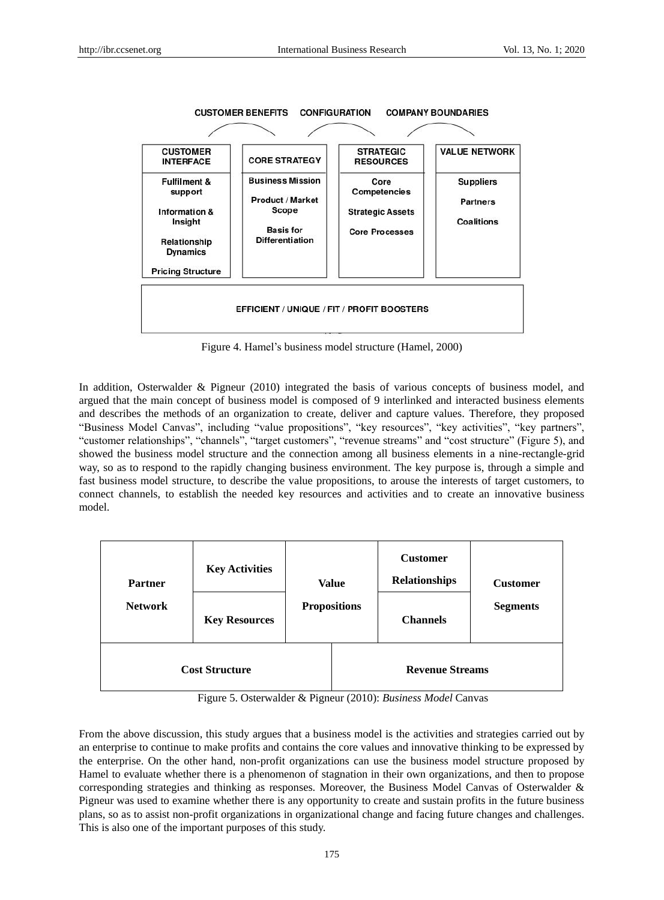

Figure 4. Hamel's business model structure (Hamel, 2000)

In addition, Osterwalder & Pigneur (2010) integrated the basis of various concepts of business model, and argued that the main concept of business model is composed of 9 interlinked and interacted business elements and describes the methods of an organization to create, deliver and capture values. Therefore, they proposed "Business Model Canvas", including "value propositions", "key resources", "key activities", "key partners", "customer relationships", "channels", "target customers", "revenue streams" and "cost structure" (Figure 5), and showed the business model structure and the connection among all business elements in a nine-rectangle-grid way, so as to respond to the rapidly changing business environment. The key purpose is, through a simple and fast business model structure, to describe the value propositions, to arouse the interests of target customers, to connect channels, to establish the needed key resources and activities and to create an innovative business model.

| <b>Partner</b><br><b>Network</b> | <b>Key Activities</b><br><b>Key Resources</b> |  | <b>Value</b><br><b>Propositions</b> | <b>Customer</b><br><b>Relationships</b><br><b>Channels</b> | <b>Customer</b><br><b>Segments</b> |
|----------------------------------|-----------------------------------------------|--|-------------------------------------|------------------------------------------------------------|------------------------------------|
| <b>Cost Structure</b>            |                                               |  | <b>Revenue Streams</b>              |                                                            |                                    |

Figure 5. Osterwalder & Pigneur (2010): *Business Model* Canvas

From the above discussion, this study argues that a business model is the activities and strategies carried out by an enterprise to continue to make profits and contains the core values and innovative thinking to be expressed by the enterprise. On the other hand, non-profit organizations can use the business model structure proposed by Hamel to evaluate whether there is a phenomenon of stagnation in their own organizations, and then to propose corresponding strategies and thinking as responses. Moreover, the Business Model Canvas of Osterwalder & Pigneur was used to examine whether there is any opportunity to create and sustain profits in the future business plans, so as to assist non-profit organizations in organizational change and facing future changes and challenges. This is also one of the important purposes of this study.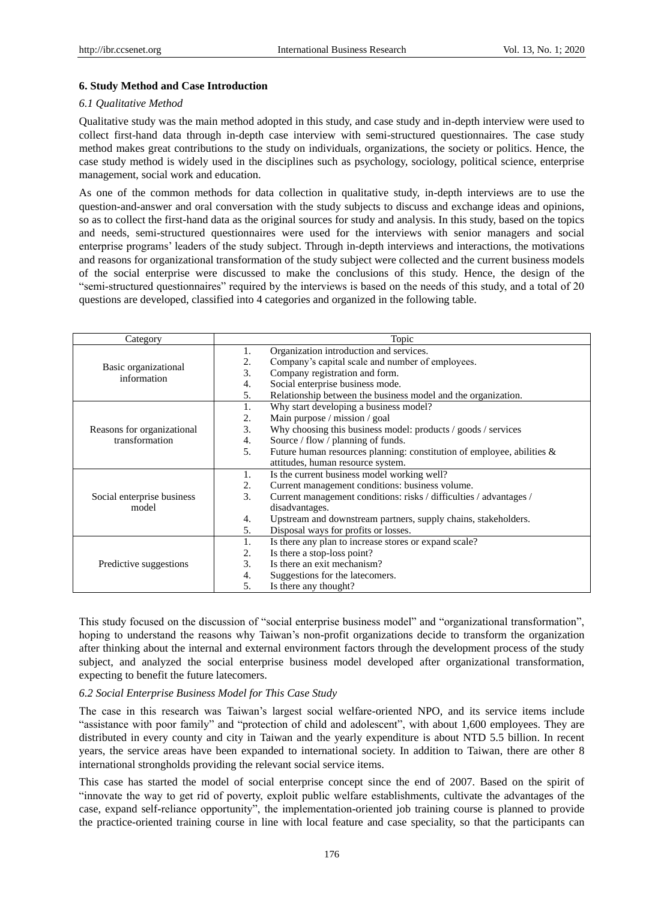#### **6. Study Method and Case Introduction**

#### *6.1 Qualitative Method*

Qualitative study was the main method adopted in this study, and case study and in-depth interview were used to collect first-hand data through in-depth case interview with semi-structured questionnaires. The case study method makes great contributions to the study on individuals, organizations, the society or politics. Hence, the case study method is widely used in the disciplines such as psychology, sociology, political science, enterprise management, social work and education.

As one of the common methods for data collection in qualitative study, in-depth interviews are to use the question-and-answer and oral conversation with the study subjects to discuss and exchange ideas and opinions, so as to collect the first-hand data as the original sources for study and analysis. In this study, based on the topics and needs, semi-structured questionnaires were used for the interviews with senior managers and social enterprise programs' leaders of the study subject. Through in-depth interviews and interactions, the motivations and reasons for organizational transformation of the study subject were collected and the current business models of the social enterprise were discussed to make the conclusions of this study. Hence, the design of the "semi-structured questionnaires" required by the interviews is based on the needs of this study, and a total of 20 questions are developed, classified into 4 categories and organized in the following table.

| Category                                     |               | Topic                                                                     |  |  |
|----------------------------------------------|---------------|---------------------------------------------------------------------------|--|--|
| Basic organizational<br>information          | 1.            | Organization introduction and services.                                   |  |  |
|                                              | 2.            | Company's capital scale and number of employees.                          |  |  |
|                                              | 3.            | Company registration and form.                                            |  |  |
|                                              | 4.            | Social enterprise business mode.                                          |  |  |
|                                              | 5.            | Relationship between the business model and the organization.             |  |  |
| Reasons for organizational<br>transformation | 1.            | Why start developing a business model?                                    |  |  |
|                                              | 2.            | Main purpose / mission / goal                                             |  |  |
|                                              | 3.            | Why choosing this business model: products / goods / services             |  |  |
|                                              | 4.            | Source / flow / planning of funds.                                        |  |  |
|                                              | 5.            | Future human resources planning: constitution of employee, abilities $\&$ |  |  |
|                                              |               | attitudes, human resource system.                                         |  |  |
|                                              | 1.            | Is the current business model working well?                               |  |  |
|                                              | 2.            | Current management conditions: business volume.                           |  |  |
| Social enterprise business                   | $\mathcal{F}$ | Current management conditions: risks / difficulties / advantages /        |  |  |
| model                                        |               | disadvantages.                                                            |  |  |
|                                              | 4.            | Upstream and downstream partners, supply chains, stakeholders.            |  |  |
|                                              | 5.            | Disposal ways for profits or losses.                                      |  |  |
| Predictive suggestions                       | 1.            | Is there any plan to increase stores or expand scale?                     |  |  |
|                                              | 2.            | Is there a stop-loss point?                                               |  |  |
|                                              | 3.            | Is there an exit mechanism?                                               |  |  |
|                                              | 4.            | Suggestions for the latecomers.                                           |  |  |
|                                              | 5.            | Is there any thought?                                                     |  |  |

This study focused on the discussion of "social enterprise business model" and "organizational transformation", hoping to understand the reasons why Taiwan's non-profit organizations decide to transform the organization after thinking about the internal and external environment factors through the development process of the study subject, and analyzed the social enterprise business model developed after organizational transformation, expecting to benefit the future latecomers.

#### *6.2 Social Enterprise Business Model for This Case Study*

The case in this research was Taiwan's largest social welfare-oriented NPO, and its service items include "assistance with poor family" and "protection of child and adolescent", with about 1,600 employees. They are distributed in every county and city in Taiwan and the yearly expenditure is about NTD 5.5 billion. In recent years, the service areas have been expanded to international society. In addition to Taiwan, there are other 8 international strongholds providing the relevant social service items.

This case has started the model of social enterprise concept since the end of 2007. Based on the spirit of "innovate the way to get rid of poverty, exploit public welfare establishments, cultivate the advantages of the case, expand self-reliance opportunity", the implementation-oriented job training course is planned to provide the practice-oriented training course in line with local feature and case speciality, so that the participants can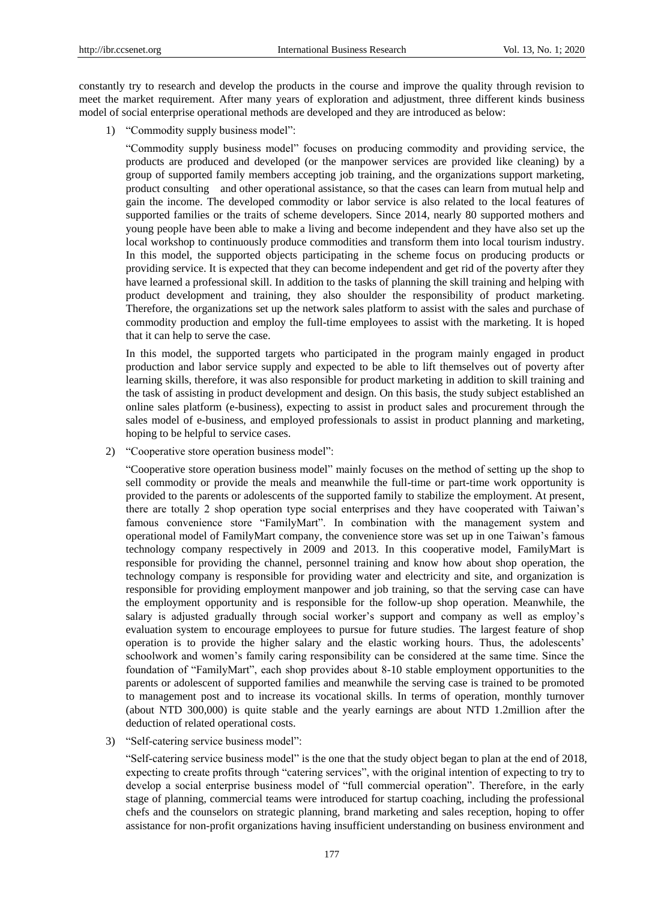constantly try to research and develop the products in the course and improve the quality through revision to meet the market requirement. After many years of exploration and adjustment, three different kinds business model of social enterprise operational methods are developed and they are introduced as below:

1) "Commodity supply business model":

"Commodity supply business model" focuses on producing commodity and providing service, the products are produced and developed (or the manpower services are provided like cleaning) by a group of supported family members accepting job training, and the organizations support marketing, product consulting and other operational assistance, so that the cases can learn from mutual help and gain the income. The developed commodity or labor service is also related to the local features of supported families or the traits of scheme developers. Since 2014, nearly 80 supported mothers and young people have been able to make a living and become independent and they have also set up the local workshop to continuously produce commodities and transform them into local tourism industry. In this model, the supported objects participating in the scheme focus on producing products or providing service. It is expected that they can become independent and get rid of the poverty after they have learned a professional skill. In addition to the tasks of planning the skill training and helping with product development and training, they also shoulder the responsibility of product marketing. Therefore, the organizations set up the network sales platform to assist with the sales and purchase of commodity production and employ the full-time employees to assist with the marketing. It is hoped that it can help to serve the case.

In this model, the supported targets who participated in the program mainly engaged in product production and labor service supply and expected to be able to lift themselves out of poverty after learning skills, therefore, it was also responsible for product marketing in addition to skill training and the task of assisting in product development and design. On this basis, the study subject established an online sales platform (e-business), expecting to assist in product sales and procurement through the sales model of e-business, and employed professionals to assist in product planning and marketing, hoping to be helpful to service cases.

2) "Cooperative store operation business model":

"Cooperative store operation business model" mainly focuses on the method of setting up the shop to sell commodity or provide the meals and meanwhile the full-time or part-time work opportunity is provided to the parents or adolescents of the supported family to stabilize the employment. At present, there are totally 2 shop operation type social enterprises and they have cooperated with Taiwan's famous convenience store "FamilyMart". In combination with the management system and operational model of FamilyMart company, the convenience store was set up in one Taiwan's famous technology company respectively in 2009 and 2013. In this cooperative model, FamilyMart is responsible for providing the channel, personnel training and know how about shop operation, the technology company is responsible for providing water and electricity and site, and organization is responsible for providing employment manpower and job training, so that the serving case can have the employment opportunity and is responsible for the follow-up shop operation. Meanwhile, the salary is adjusted gradually through social worker's support and company as well as employ's evaluation system to encourage employees to pursue for future studies. The largest feature of shop operation is to provide the higher salary and the elastic working hours. Thus, the adolescents' schoolwork and women's family caring responsibility can be considered at the same time. Since the foundation of "FamilyMart", each shop provides about 8-10 stable employment opportunities to the parents or adolescent of supported families and meanwhile the serving case is trained to be promoted to management post and to increase its vocational skills. In terms of operation, monthly turnover (about NTD 300,000) is quite stable and the yearly earnings are about NTD 1.2million after the deduction of related operational costs.

3) "Self-catering service business model":

"Self-catering service business model" is the one that the study object began to plan at the end of 2018, expecting to create profits through "catering services", with the original intention of expecting to try to develop a social enterprise business model of "full commercial operation". Therefore, in the early stage of planning, commercial teams were introduced for startup coaching, including the professional chefs and the counselors on strategic planning, brand marketing and sales reception, hoping to offer assistance for non-profit organizations having insufficient understanding on business environment and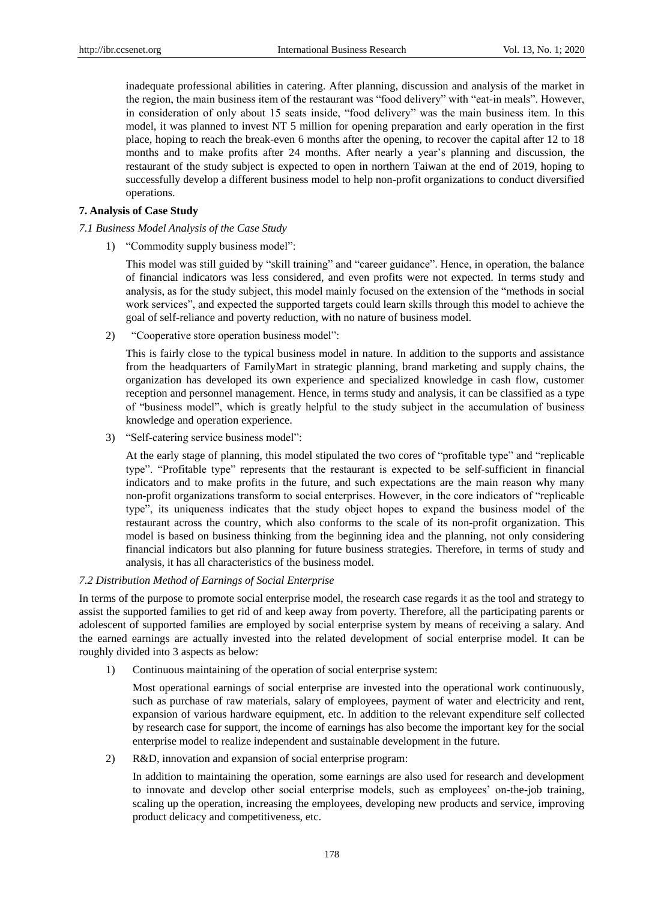inadequate professional abilities in catering. After planning, discussion and analysis of the market in the region, the main business item of the restaurant was "food delivery" with "eat-in meals". However, in consideration of only about 15 seats inside, "food delivery" was the main business item. In this model, it was planned to invest NT 5 million for opening preparation and early operation in the first place, hoping to reach the break-even 6 months after the opening, to recover the capital after 12 to 18 months and to make profits after 24 months. After nearly a year's planning and discussion, the restaurant of the study subject is expected to open in northern Taiwan at the end of 2019, hoping to successfully develop a different business model to help non-profit organizations to conduct diversified operations.

### **7. Analysis of Case Study**

## *7.1 Business Model Analysis of the Case Study*

1) "Commodity supply business model":

This model was still guided by "skill training" and "career guidance". Hence, in operation, the balance of financial indicators was less considered, and even profits were not expected. In terms study and analysis, as for the study subject, this model mainly focused on the extension of the "methods in social work services", and expected the supported targets could learn skills through this model to achieve the goal of self-reliance and poverty reduction, with no nature of business model.

2) "Cooperative store operation business model":

This is fairly close to the typical business model in nature. In addition to the supports and assistance from the headquarters of FamilyMart in strategic planning, brand marketing and supply chains, the organization has developed its own experience and specialized knowledge in cash flow, customer reception and personnel management. Hence, in terms study and analysis, it can be classified as a type of "business model", which is greatly helpful to the study subject in the accumulation of business knowledge and operation experience.

3) "Self-catering service business model":

At the early stage of planning, this model stipulated the two cores of "profitable type" and "replicable type". "Profitable type" represents that the restaurant is expected to be self-sufficient in financial indicators and to make profits in the future, and such expectations are the main reason why many non-profit organizations transform to social enterprises. However, in the core indicators of "replicable type", its uniqueness indicates that the study object hopes to expand the business model of the restaurant across the country, which also conforms to the scale of its non-profit organization. This model is based on business thinking from the beginning idea and the planning, not only considering financial indicators but also planning for future business strategies. Therefore, in terms of study and analysis, it has all characteristics of the business model.

## *7.2 Distribution Method of Earnings of Social Enterprise*

In terms of the purpose to promote social enterprise model, the research case regards it as the tool and strategy to assist the supported families to get rid of and keep away from poverty. Therefore, all the participating parents or adolescent of supported families are employed by social enterprise system by means of receiving a salary. And the earned earnings are actually invested into the related development of social enterprise model. It can be roughly divided into 3 aspects as below:

1) Continuous maintaining of the operation of social enterprise system:

Most operational earnings of social enterprise are invested into the operational work continuously, such as purchase of raw materials, salary of employees, payment of water and electricity and rent, expansion of various hardware equipment, etc. In addition to the relevant expenditure self collected by research case for support, the income of earnings has also become the important key for the social enterprise model to realize independent and sustainable development in the future.

2) R&D, innovation and expansion of social enterprise program:

In addition to maintaining the operation, some earnings are also used for research and development to innovate and develop other social enterprise models, such as employees' on-the-job training, scaling up the operation, increasing the employees, developing new products and service, improving product delicacy and competitiveness, etc.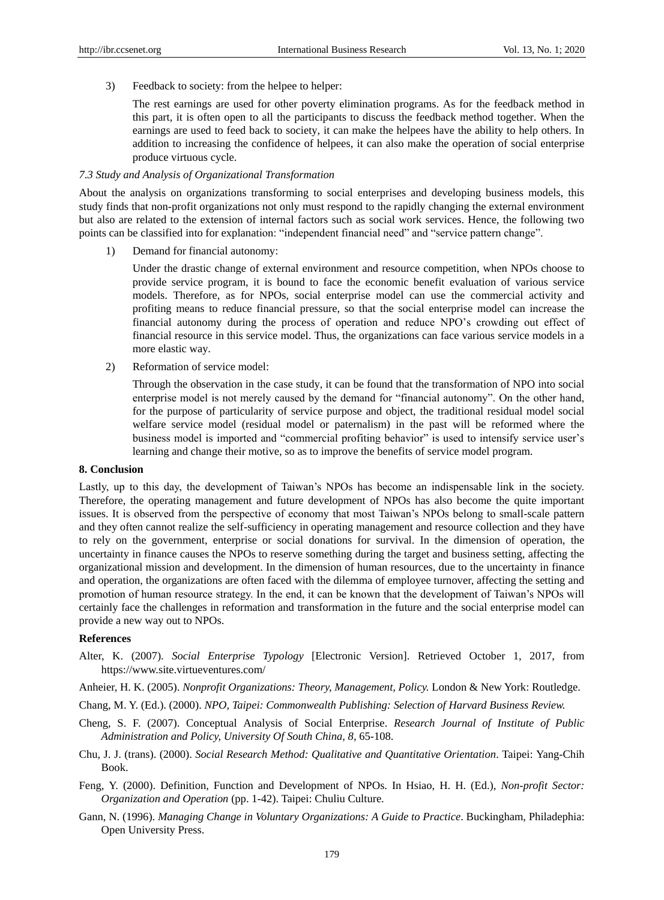3) Feedback to society: from the helpee to helper:

The rest earnings are used for other poverty elimination programs. As for the feedback method in this part, it is often open to all the participants to discuss the feedback method together. When the earnings are used to feed back to society, it can make the helpees have the ability to help others. In addition to increasing the confidence of helpees, it can also make the operation of social enterprise produce virtuous cycle.

## *7.3 Study and Analysis of Organizational Transformation*

About the analysis on organizations transforming to social enterprises and developing business models, this study finds that non-profit organizations not only must respond to the rapidly changing the external environment but also are related to the extension of internal factors such as social work services. Hence, the following two points can be classified into for explanation: "independent financial need" and "service pattern change".

1) Demand for financial autonomy:

Under the drastic change of external environment and resource competition, when NPOs choose to provide service program, it is bound to face the economic benefit evaluation of various service models. Therefore, as for NPOs, social enterprise model can use the commercial activity and profiting means to reduce financial pressure, so that the social enterprise model can increase the financial autonomy during the process of operation and reduce NPO's crowding out effect of financial resource in this service model. Thus, the organizations can face various service models in a more elastic way.

2) Reformation of service model:

Through the observation in the case study, it can be found that the transformation of NPO into social enterprise model is not merely caused by the demand for "financial autonomy". On the other hand, for the purpose of particularity of service purpose and object, the traditional residual model social welfare service model (residual model or paternalism) in the past will be reformed where the business model is imported and "commercial profiting behavior" is used to intensify service user's learning and change their motive, so as to improve the benefits of service model program.

#### **8. Conclusion**

Lastly, up to this day, the development of Taiwan's NPOs has become an indispensable link in the society. Therefore, the operating management and future development of NPOs has also become the quite important issues. It is observed from the perspective of economy that most Taiwan's NPOs belong to small-scale pattern and they often cannot realize the self-sufficiency in operating management and resource collection and they have to rely on the government, enterprise or social donations for survival. In the dimension of operation, the uncertainty in finance causes the NPOs to reserve something during the target and business setting, affecting the organizational mission and development. In the dimension of human resources, due to the uncertainty in finance and operation, the organizations are often faced with the dilemma of employee turnover, affecting the setting and promotion of human resource strategy. In the end, it can be known that the development of Taiwan's NPOs will certainly face the challenges in reformation and transformation in the future and the social enterprise model can provide a new way out to NPOs.

## **References**

- Alter, K. (2007). *Social Enterprise Typology* [Electronic Version]. Retrieved October 1, 2017, from https://www.site.virtueventures.com/
- Anheier, H. K. (2005). *Nonprofit Organizations: Theory, Management, Policy.* London & New York: Routledge.
- Chang, M. Y. (Ed.). (2000). *NPO, Taipei: Commonwealth Publishing: Selection of Harvard Business Review.*

Cheng, S. F. (2007). Conceptual Analysis of Social Enterprise. *Research Journal of Institute of Public Administration and Policy, University Of South China, 8,* 65-108.

- Chu, J. J. (trans). (2000). *Social Research Method: Qualitative and Quantitative Orientation*. Taipei: Yang-Chih Book.
- Feng, Y. (2000). Definition, Function and Development of NPOs. In Hsiao, H. H. (Ed.), *Non-profit Sector: Organization and Operation* (pp. 1-42). Taipei: Chuliu Culture.
- Gann, N. (1996). *Managing Change in Voluntary Organizations: A Guide to Practice*. Buckingham, Philadephia: Open University Press.